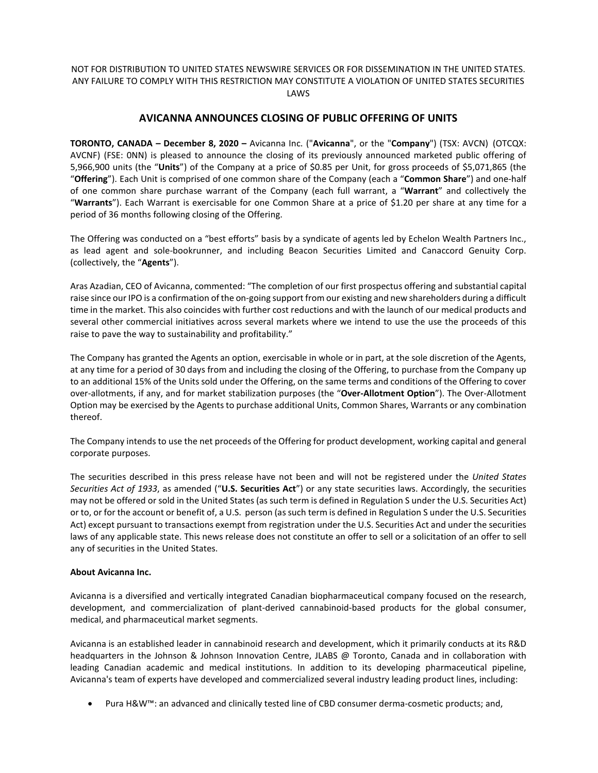## NOT FOR DISTRIBUTION TO UNITED STATES NEWSWIRE SERVICES OR FOR DISSEMINATION IN THE UNITED STATES. ANY FAILURE TO COMPLY WITH THIS RESTRICTION MAY CONSTITUTE A VIOLATION OF UNITED STATES SECURITIES LAWS

# **AVICANNA ANNOUNCES CLOSING OF PUBLIC OFFERING OF UNITS**

**TORONTO, CANADA – December 8, 2020 –** Avicanna Inc. ("**Avicanna**", or the "**Company**") (TSX: AVCN) (OTCQX: AVCNF) (FSE: 0NN) is pleased to announce the closing of its previously announced marketed public offering of 5,966,900 units (the "**Units**") of the Company at a price of \$0.85 per Unit, for gross proceeds of \$5,071,865 (the "**Offering**"). Each Unit is comprised of one common share of the Company (each a "**Common Share**") and one-half of one common share purchase warrant of the Company (each full warrant, a "**Warrant**" and collectively the "**Warrants**"). Each Warrant is exercisable for one Common Share at a price of \$1.20 per share at any time for a period of 36 months following closing of the Offering.

The Offering was conducted on a "best efforts" basis by a syndicate of agents led by Echelon Wealth Partners Inc., as lead agent and sole-bookrunner, and including Beacon Securities Limited and Canaccord Genuity Corp. (collectively, the "**Agents**").

Aras Azadian, CEO of Avicanna, commented: "The completion of our first prospectus offering and substantial capital raise since our IPO is a confirmation of the on-going support from our existing and new shareholders during a difficult time in the market. This also coincides with further cost reductions and with the launch of our medical products and several other commercial initiatives across several markets where we intend to use the use the proceeds of this raise to pave the way to sustainability and profitability."

The Company has granted the Agents an option, exercisable in whole or in part, at the sole discretion of the Agents, at any time for a period of 30 days from and including the closing of the Offering, to purchase from the Company up to an additional 15% of the Units sold under the Offering, on the same terms and conditions of the Offering to cover over-allotments, if any, and for market stabilization purposes (the "**Over-Allotment Option**"). The Over-Allotment Option may be exercised by the Agents to purchase additional Units, Common Shares, Warrants or any combination thereof.

The Company intends to use the net proceeds of the Offering for product development, working capital and general corporate purposes.

The securities described in this press release have not been and will not be registered under the *United States Securities Act of 1933*, as amended ("**U.S. Securities Act**") or any state securities laws. Accordingly, the securities may not be offered or sold in the United States (as such term is defined in Regulation S under the U.S. Securities Act) or to, or for the account or benefit of, a U.S. person (as such term is defined in Regulation S under the U.S. Securities Act) except pursuant to transactions exempt from registration under the U.S. Securities Act and under the securities laws of any applicable state. This news release does not constitute an offer to sell or a solicitation of an offer to sell any of securities in the United States.

## **About Avicanna Inc.**

Avicanna is a diversified and vertically integrated Canadian biopharmaceutical company focused on the research, development, and commercialization of plant-derived cannabinoid-based products for the global consumer, medical, and pharmaceutical market segments.

Avicanna is an established leader in cannabinoid research and development, which it primarily conducts at its R&D headquarters in the Johnson & Johnson Innovation Centre, JLABS @ Toronto, Canada and in collaboration with leading Canadian academic and medical institutions. In addition to its developing pharmaceutical pipeline, Avicanna's team of experts have developed and commercialized several industry leading product lines, including:

Pura H&W™: an advanced and clinically tested line of CBD consumer derma-cosmetic products; and,